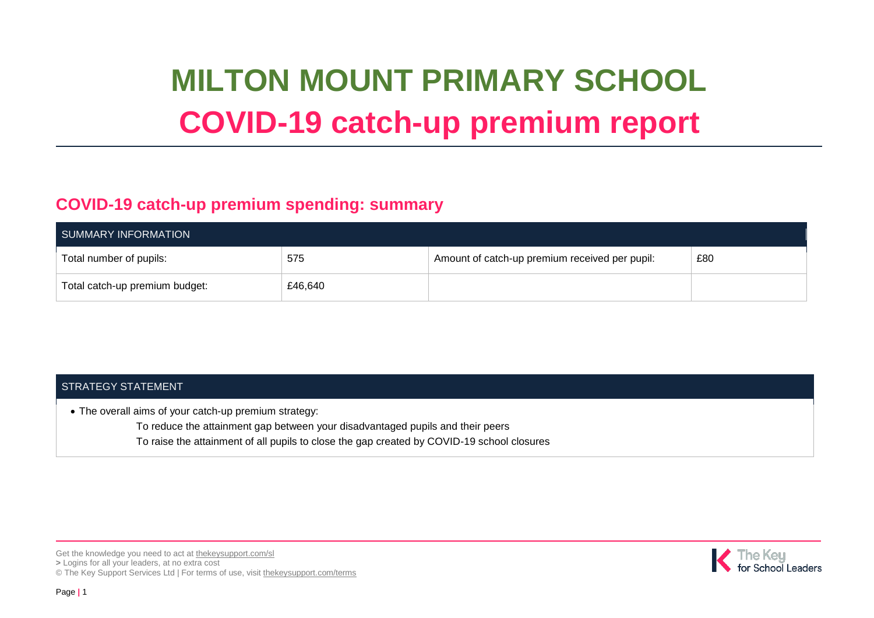# **MILTON MOUNT PRIMARY SCHOOL COVID-19 catch-up premium report**

### **COVID-19 catch-up premium spending: summary**

| SUMMARY INFORMATION            |         |                                                |     |  |  |
|--------------------------------|---------|------------------------------------------------|-----|--|--|
| Total number of pupils:        | 575     | Amount of catch-up premium received per pupil: | £80 |  |  |
| Total catch-up premium budget: | £46,640 |                                                |     |  |  |

#### STRATEGY STATEMENT

The overall aims of your catch-up premium strategy:

- To reduce the attainment gap between your disadvantaged pupils and their peers
- To raise the attainment of all pupils to close the gap created by COVID-19 school closures

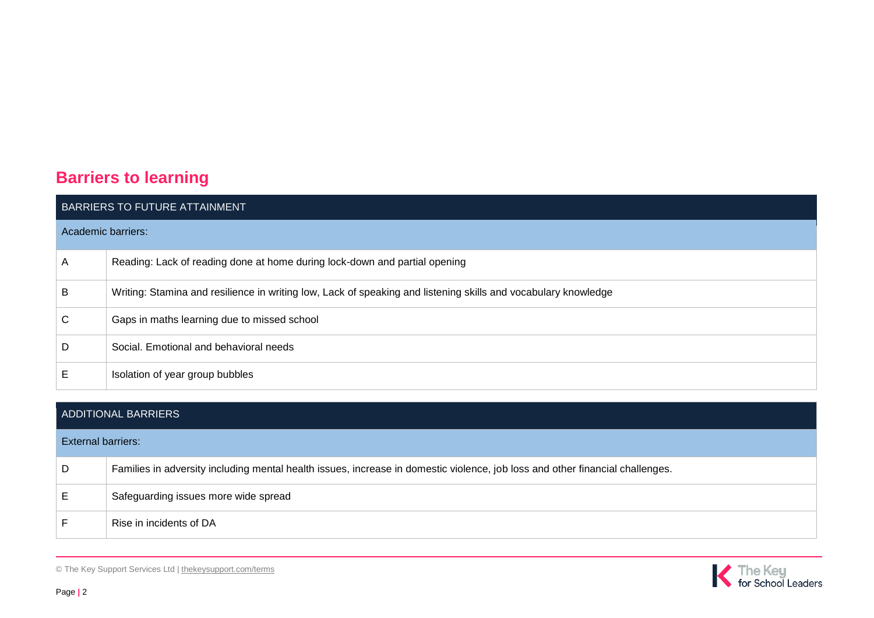## **Barriers to learning**

| BARRIERS TO FUTURE ATTAINMENT |                                                                                                                |  |  |
|-------------------------------|----------------------------------------------------------------------------------------------------------------|--|--|
| Academic barriers:            |                                                                                                                |  |  |
| A                             | Reading: Lack of reading done at home during lock-down and partial opening                                     |  |  |
| B                             | Writing: Stamina and resilience in writing low, Lack of speaking and listening skills and vocabulary knowledge |  |  |
| С                             | Gaps in maths learning due to missed school                                                                    |  |  |
| D                             | Social. Emotional and behavioral needs                                                                         |  |  |
| E.                            | Isolation of year group bubbles                                                                                |  |  |

| <b>ADDITIONAL BARRIERS</b> |                                                                                                                               |  |  |  |
|----------------------------|-------------------------------------------------------------------------------------------------------------------------------|--|--|--|
| <b>External barriers:</b>  |                                                                                                                               |  |  |  |
| D                          | Families in adversity including mental health issues, increase in domestic violence, job loss and other financial challenges. |  |  |  |
| E                          | Safeguarding issues more wide spread                                                                                          |  |  |  |
| F                          | Rise in incidents of DA                                                                                                       |  |  |  |

© The Key Support Services Ltd | [thekeysupport.com/terms](https://thekeysupport.com/terms-of-use)

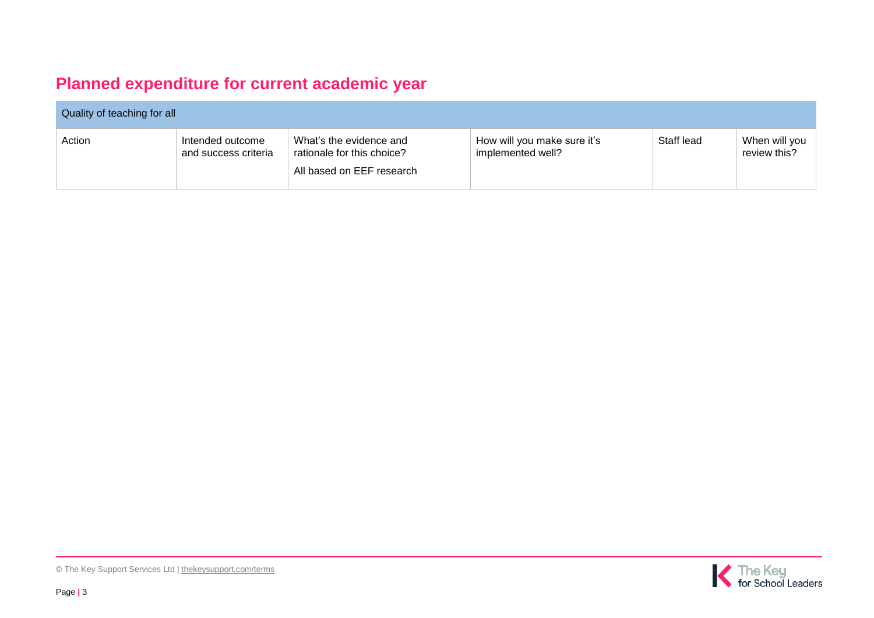## **Planned expenditure for current academic year**

| Quality of teaching for all |                                          |                                                                                    |                                                  |            |                               |  |
|-----------------------------|------------------------------------------|------------------------------------------------------------------------------------|--------------------------------------------------|------------|-------------------------------|--|
| Action                      | Intended outcome<br>and success criteria | What's the evidence and<br>rationale for this choice?<br>All based on EEF research | How will you make sure it's<br>implemented well? | Staff lead | When will vou<br>review this? |  |

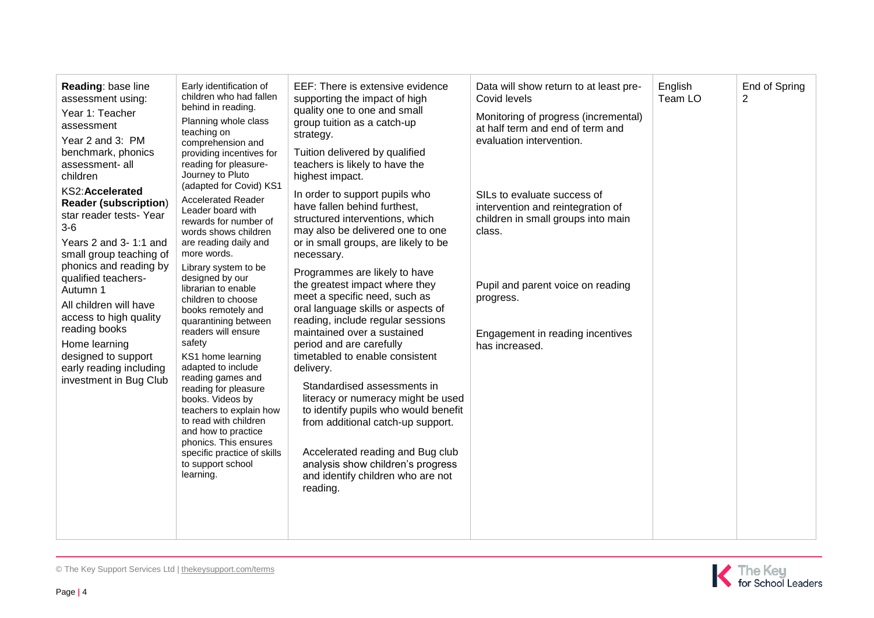| Reading: base line<br>assessment using:<br>Year 1: Teacher<br>assessment<br>Year 2 and 3: PM<br>benchmark, phonics<br>assessment- all<br>children<br>KS2:Accelerated<br><b>Reader (subscription)</b><br>star reader tests- Year<br>$3-6$<br>Years 2 and 3-1:1 and<br>small group teaching of<br>phonics and reading by<br>qualified teachers-<br>Autumn 1<br>All children will have<br>access to high quality<br>reading books<br>Home learning<br>designed to support<br>early reading including<br>investment in Bug Club | Early identification of<br>children who had fallen<br>behind in reading.<br>Planning whole class<br>teaching on<br>comprehension and<br>providing incentives for<br>reading for pleasure-<br>Journey to Pluto<br>(adapted for Covid) KS1<br><b>Accelerated Reader</b><br>Leader board with<br>rewards for number of<br>words shows children<br>are reading daily and<br>more words.<br>Library system to be<br>designed by our<br>librarian to enable<br>children to choose<br>books remotely and<br>quarantining between<br>readers will ensure<br>safety<br>KS1 home learning<br>adapted to include<br>reading games and<br>reading for pleasure<br>books. Videos by<br>teachers to explain how<br>to read with children<br>and how to practice<br>phonics. This ensures<br>specific practice of skills<br>to support school<br>learning. | EEF: There is extensive evidence<br>supporting the impact of high<br>quality one to one and small<br>group tuition as a catch-up<br>strategy.<br>Tuition delivered by qualified<br>teachers is likely to have the<br>highest impact.<br>In order to support pupils who<br>have fallen behind furthest,<br>structured interventions, which<br>may also be delivered one to one<br>or in small groups, are likely to be<br>necessary.<br>Programmes are likely to have<br>the greatest impact where they<br>meet a specific need, such as<br>oral language skills or aspects of<br>reading, include regular sessions<br>maintained over a sustained<br>period and are carefully<br>timetabled to enable consistent<br>delivery.<br>Standardised assessments in<br>literacy or numeracy might be used<br>to identify pupils who would benefit<br>from additional catch-up support.<br>Accelerated reading and Bug club<br>analysis show children's progress<br>and identify children who are not<br>reading. | Data will show return to at least pre-<br>Covid levels<br>Monitoring of progress (incremental)<br>at half term and end of term and<br>evaluation intervention.<br>SILs to evaluate success of<br>intervention and reintegration of<br>children in small groups into main<br>class.<br>Pupil and parent voice on reading<br>progress.<br>Engagement in reading incentives<br>has increased. | English<br>Team LO | End of Spring<br>2 |
|-----------------------------------------------------------------------------------------------------------------------------------------------------------------------------------------------------------------------------------------------------------------------------------------------------------------------------------------------------------------------------------------------------------------------------------------------------------------------------------------------------------------------------|---------------------------------------------------------------------------------------------------------------------------------------------------------------------------------------------------------------------------------------------------------------------------------------------------------------------------------------------------------------------------------------------------------------------------------------------------------------------------------------------------------------------------------------------------------------------------------------------------------------------------------------------------------------------------------------------------------------------------------------------------------------------------------------------------------------------------------------------|-----------------------------------------------------------------------------------------------------------------------------------------------------------------------------------------------------------------------------------------------------------------------------------------------------------------------------------------------------------------------------------------------------------------------------------------------------------------------------------------------------------------------------------------------------------------------------------------------------------------------------------------------------------------------------------------------------------------------------------------------------------------------------------------------------------------------------------------------------------------------------------------------------------------------------------------------------------------------------------------------------------|--------------------------------------------------------------------------------------------------------------------------------------------------------------------------------------------------------------------------------------------------------------------------------------------------------------------------------------------------------------------------------------------|--------------------|--------------------|
|-----------------------------------------------------------------------------------------------------------------------------------------------------------------------------------------------------------------------------------------------------------------------------------------------------------------------------------------------------------------------------------------------------------------------------------------------------------------------------------------------------------------------------|---------------------------------------------------------------------------------------------------------------------------------------------------------------------------------------------------------------------------------------------------------------------------------------------------------------------------------------------------------------------------------------------------------------------------------------------------------------------------------------------------------------------------------------------------------------------------------------------------------------------------------------------------------------------------------------------------------------------------------------------------------------------------------------------------------------------------------------------|-----------------------------------------------------------------------------------------------------------------------------------------------------------------------------------------------------------------------------------------------------------------------------------------------------------------------------------------------------------------------------------------------------------------------------------------------------------------------------------------------------------------------------------------------------------------------------------------------------------------------------------------------------------------------------------------------------------------------------------------------------------------------------------------------------------------------------------------------------------------------------------------------------------------------------------------------------------------------------------------------------------|--------------------------------------------------------------------------------------------------------------------------------------------------------------------------------------------------------------------------------------------------------------------------------------------------------------------------------------------------------------------------------------------|--------------------|--------------------|



© The Key Support Services Ltd | [thekeysupport.com/terms](https://thekeysupport.com/terms-of-use)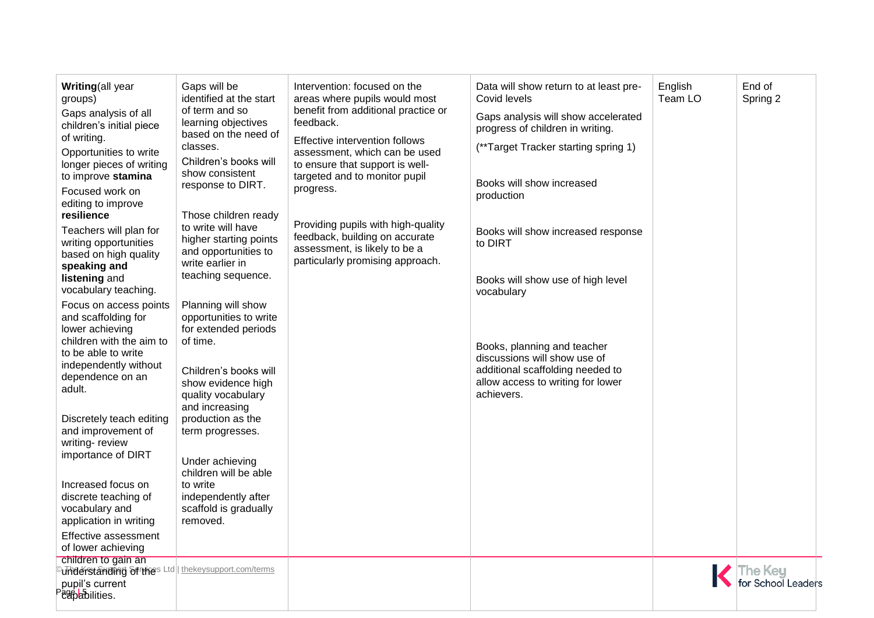| Writing(all year<br>groups)<br>Gaps analysis of all<br>children's initial piece<br>of writing.<br>Opportunities to write<br>longer pieces of writing<br>to improve stamina<br>Focused work on<br>editing to improve<br>resilience<br>Teachers will plan for<br>writing opportunities<br>based on high quality<br>speaking and<br>listening and<br>vocabulary teaching.<br>Focus on access points<br>and scaffolding for<br>lower achieving<br>children with the aim to<br>to be able to write<br>independently without<br>dependence on an<br>adult.<br>Discretely teach editing<br>and improvement of<br>writing-review<br>importance of DIRT<br>Increased focus on<br>discrete teaching of<br>vocabulary and<br>application in writing | Gaps will be<br>identified at the start<br>of term and so<br>learning objectives<br>based on the need of<br>classes.<br>Children's books will<br>show consistent<br>response to DIRT.<br>Those children ready<br>to write will have<br>higher starting points<br>and opportunities to<br>write earlier in<br>teaching sequence.<br>Planning will show<br>opportunities to write<br>for extended periods<br>of time.<br>Children's books will<br>show evidence high<br>quality vocabulary<br>and increasing<br>production as the<br>term progresses.<br>Under achieving<br>children will be able<br>to write<br>independently after<br>scaffold is gradually<br>removed. | Intervention: focused on the<br>areas where pupils would most<br>benefit from additional practice or<br>feedback.<br>Effective intervention follows<br>assessment, which can be used<br>to ensure that support is well-<br>targeted and to monitor pupil<br>progress.<br>Providing pupils with high-quality<br>feedback, building on accurate<br>assessment, is likely to be a<br>particularly promising approach. | Data will show return to at least pre-<br>Covid levels<br>Gaps analysis will show accelerated<br>progress of children in writing.<br>(**Target Tracker starting spring 1)<br>Books will show increased<br>production<br>Books will show increased response<br>to DIRT<br>Books will show use of high level<br>vocabulary<br>Books, planning and teacher<br>discussions will show use of<br>additional scaffolding needed to<br>allow access to writing for lower<br>achievers. | English<br>Team LO | End of<br>Spring 2          |
|------------------------------------------------------------------------------------------------------------------------------------------------------------------------------------------------------------------------------------------------------------------------------------------------------------------------------------------------------------------------------------------------------------------------------------------------------------------------------------------------------------------------------------------------------------------------------------------------------------------------------------------------------------------------------------------------------------------------------------------|-------------------------------------------------------------------------------------------------------------------------------------------------------------------------------------------------------------------------------------------------------------------------------------------------------------------------------------------------------------------------------------------------------------------------------------------------------------------------------------------------------------------------------------------------------------------------------------------------------------------------------------------------------------------------|--------------------------------------------------------------------------------------------------------------------------------------------------------------------------------------------------------------------------------------------------------------------------------------------------------------------------------------------------------------------------------------------------------------------|--------------------------------------------------------------------------------------------------------------------------------------------------------------------------------------------------------------------------------------------------------------------------------------------------------------------------------------------------------------------------------------------------------------------------------------------------------------------------------|--------------------|-----------------------------|
|                                                                                                                                                                                                                                                                                                                                                                                                                                                                                                                                                                                                                                                                                                                                          |                                                                                                                                                                                                                                                                                                                                                                                                                                                                                                                                                                                                                                                                         |                                                                                                                                                                                                                                                                                                                                                                                                                    |                                                                                                                                                                                                                                                                                                                                                                                                                                                                                |                    |                             |
| Effective assessment<br>of lower achieving                                                                                                                                                                                                                                                                                                                                                                                                                                                                                                                                                                                                                                                                                               |                                                                                                                                                                                                                                                                                                                                                                                                                                                                                                                                                                                                                                                                         |                                                                                                                                                                                                                                                                                                                                                                                                                    |                                                                                                                                                                                                                                                                                                                                                                                                                                                                                |                    |                             |
| children to gain an<br><sup>୍</sup> ਪੌnderstanding อิยาห์es Ltd $\parallel$<br>pupil's current<br>Page abilities.                                                                                                                                                                                                                                                                                                                                                                                                                                                                                                                                                                                                                        | thekeysupport.com/terms                                                                                                                                                                                                                                                                                                                                                                                                                                                                                                                                                                                                                                                 |                                                                                                                                                                                                                                                                                                                                                                                                                    |                                                                                                                                                                                                                                                                                                                                                                                                                                                                                |                    | he Key<br>or School Leaders |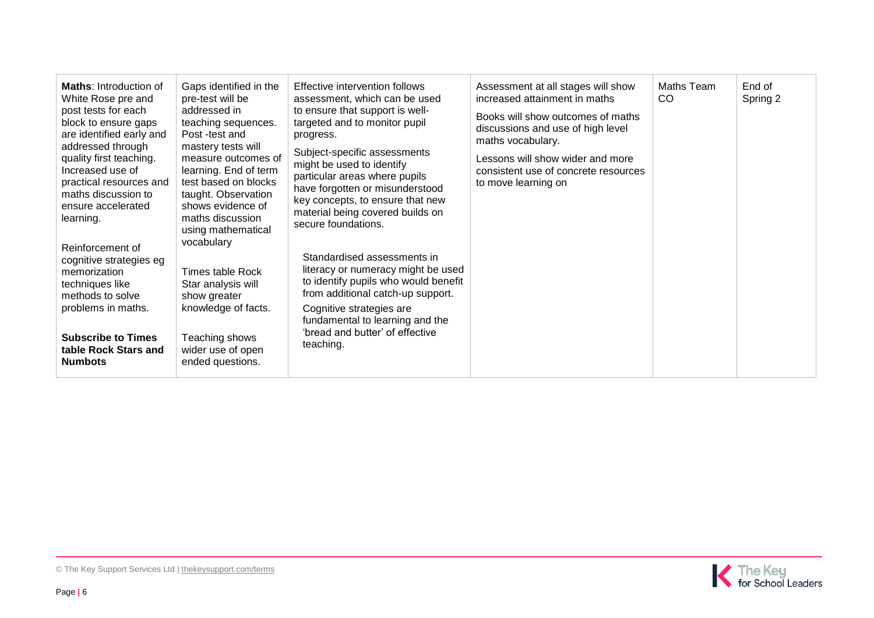| <b>Maths:</b> Introduction of<br>White Rose pre and<br>post tests for each<br>block to ensure gaps<br>are identified early and<br>addressed through<br>quality first teaching.<br>Increased use of<br>practical resources and<br>maths discussion to<br>ensure accelerated<br>learning.<br>Reinforcement of<br>cognitive strategies eg<br>memorization<br>techniques like<br>methods to solve<br>problems in maths.<br><b>Subscribe to Times</b><br>table Rock Stars and<br><b>Numbots</b> | Gaps identified in the<br>pre-test will be<br>addressed in<br>teaching sequences.<br>Post -test and<br>mastery tests will<br>measure outcomes of<br>learning. End of term<br>test based on blocks<br>taught. Observation<br>shows evidence of<br>maths discussion<br>using mathematical<br>vocabulary<br>Times table Rock<br>Star analysis will<br>show greater<br>knowledge of facts.<br>Teaching shows<br>wider use of open<br>ended questions. | Effective intervention follows<br>assessment, which can be used<br>to ensure that support is well-<br>targeted and to monitor pupil<br>progress.<br>Subject-specific assessments<br>might be used to identify<br>particular areas where pupils<br>have forgotten or misunderstood<br>key concepts, to ensure that new<br>material being covered builds on<br>secure foundations.<br>Standardised assessments in<br>literacy or numeracy might be used<br>to identify pupils who would benefit<br>from additional catch-up support.<br>Cognitive strategies are<br>fundamental to learning and the<br>'bread and butter' of effective<br>teaching. | Assessment at all stages will show<br>increased attainment in maths<br>Books will show outcomes of maths<br>discussions and use of high level<br>maths vocabulary.<br>Lessons will show wider and more<br>consistent use of concrete resources<br>to move learning on | Maths Team<br><b>CO</b> | End of<br>Spring 2 |
|--------------------------------------------------------------------------------------------------------------------------------------------------------------------------------------------------------------------------------------------------------------------------------------------------------------------------------------------------------------------------------------------------------------------------------------------------------------------------------------------|---------------------------------------------------------------------------------------------------------------------------------------------------------------------------------------------------------------------------------------------------------------------------------------------------------------------------------------------------------------------------------------------------------------------------------------------------|---------------------------------------------------------------------------------------------------------------------------------------------------------------------------------------------------------------------------------------------------------------------------------------------------------------------------------------------------------------------------------------------------------------------------------------------------------------------------------------------------------------------------------------------------------------------------------------------------------------------------------------------------|-----------------------------------------------------------------------------------------------------------------------------------------------------------------------------------------------------------------------------------------------------------------------|-------------------------|--------------------|
|--------------------------------------------------------------------------------------------------------------------------------------------------------------------------------------------------------------------------------------------------------------------------------------------------------------------------------------------------------------------------------------------------------------------------------------------------------------------------------------------|---------------------------------------------------------------------------------------------------------------------------------------------------------------------------------------------------------------------------------------------------------------------------------------------------------------------------------------------------------------------------------------------------------------------------------------------------|---------------------------------------------------------------------------------------------------------------------------------------------------------------------------------------------------------------------------------------------------------------------------------------------------------------------------------------------------------------------------------------------------------------------------------------------------------------------------------------------------------------------------------------------------------------------------------------------------------------------------------------------------|-----------------------------------------------------------------------------------------------------------------------------------------------------------------------------------------------------------------------------------------------------------------------|-------------------------|--------------------|

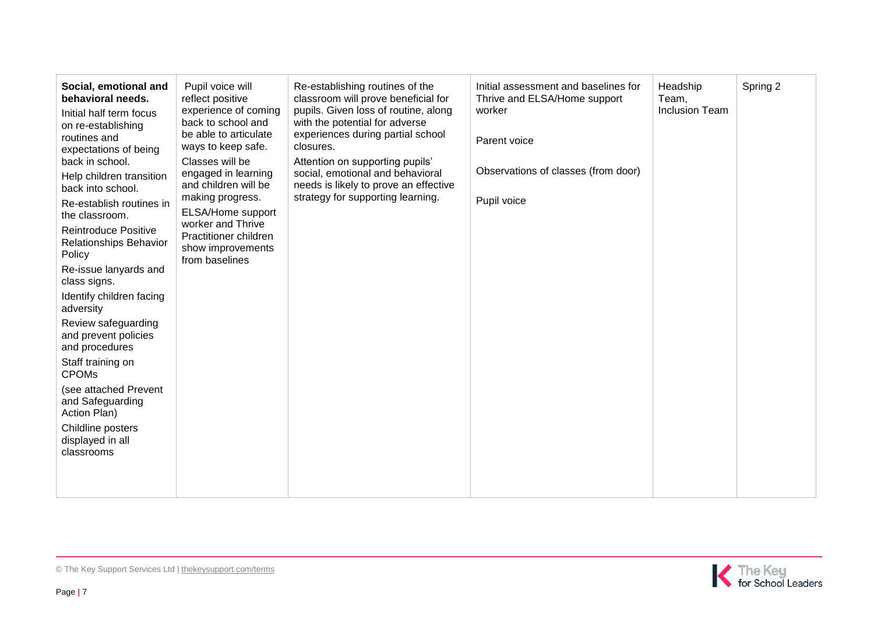| Social, emotional and<br>behavioral needs.<br>Initial half term focus<br>on re-establishing<br>routines and<br>expectations of being<br>back in school.<br>Help children transition<br>back into school.<br>Re-establish routines in<br>the classroom.<br>Reintroduce Positive<br>Relationships Behavior<br>Policy<br>Re-issue lanyards and<br>class signs.<br>Identify children facing<br>adversity<br>Review safeguarding<br>and prevent policies<br>and procedures<br>Staff training on<br><b>CPOMs</b><br>(see attached Prevent<br>and Safeguarding<br>Action Plan)<br>Childline posters<br>displayed in all<br>classrooms | Pupil voice will<br>reflect positive<br>experience of coming<br>back to school and<br>be able to articulate<br>ways to keep safe.<br>Classes will be<br>engaged in learning<br>and children will be<br>making progress.<br>ELSA/Home support<br>worker and Thrive<br>Practitioner children<br>show improvements<br>from baselines | Re-establishing routines of the<br>classroom will prove beneficial for<br>pupils. Given loss of routine, along<br>with the potential for adverse<br>experiences during partial school<br>closures.<br>Attention on supporting pupils'<br>social, emotional and behavioral<br>needs is likely to prove an effective<br>strategy for supporting learning. | Initial assessment and baselines for<br>Thrive and ELSA/Home support<br>worker<br>Parent voice<br>Observations of classes (from door)<br>Pupil voice | Headship<br>Team,<br><b>Inclusion Team</b> | Spring 2 |
|--------------------------------------------------------------------------------------------------------------------------------------------------------------------------------------------------------------------------------------------------------------------------------------------------------------------------------------------------------------------------------------------------------------------------------------------------------------------------------------------------------------------------------------------------------------------------------------------------------------------------------|-----------------------------------------------------------------------------------------------------------------------------------------------------------------------------------------------------------------------------------------------------------------------------------------------------------------------------------|---------------------------------------------------------------------------------------------------------------------------------------------------------------------------------------------------------------------------------------------------------------------------------------------------------------------------------------------------------|------------------------------------------------------------------------------------------------------------------------------------------------------|--------------------------------------------|----------|
|--------------------------------------------------------------------------------------------------------------------------------------------------------------------------------------------------------------------------------------------------------------------------------------------------------------------------------------------------------------------------------------------------------------------------------------------------------------------------------------------------------------------------------------------------------------------------------------------------------------------------------|-----------------------------------------------------------------------------------------------------------------------------------------------------------------------------------------------------------------------------------------------------------------------------------------------------------------------------------|---------------------------------------------------------------------------------------------------------------------------------------------------------------------------------------------------------------------------------------------------------------------------------------------------------------------------------------------------------|------------------------------------------------------------------------------------------------------------------------------------------------------|--------------------------------------------|----------|